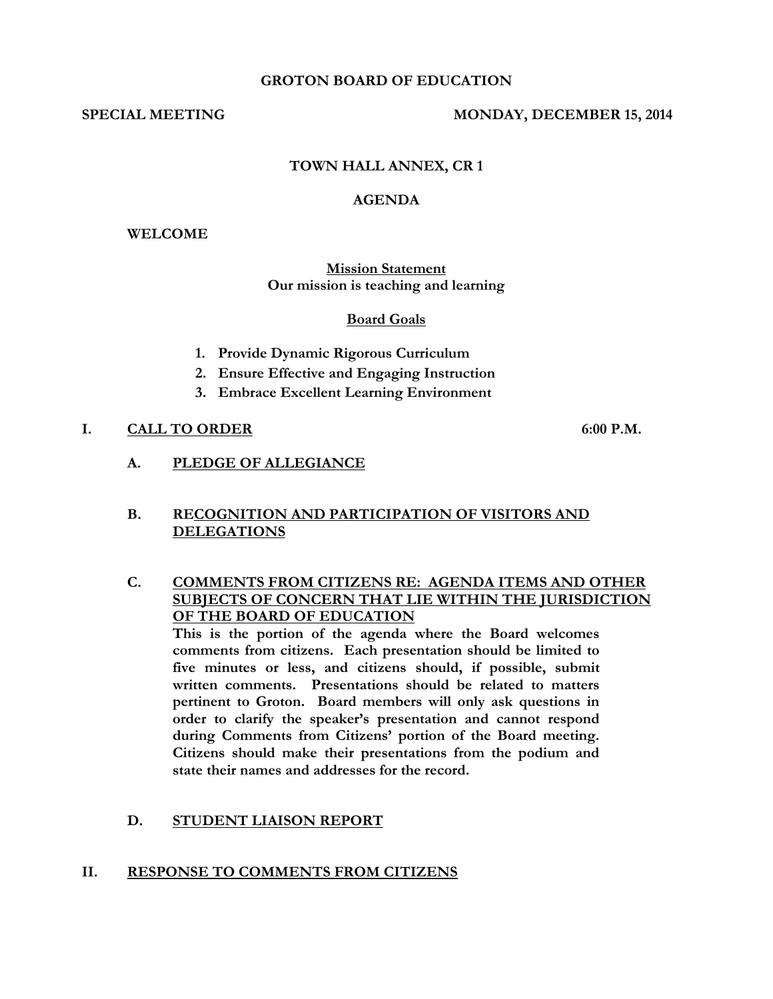#### **GROTON BOARD OF EDUCATION**

## SPECIAL MEETING MONDAY, DECEMBER 15, 2014

## **TOWN HALL ANNEX, CR 1**

#### **AGENDA**

#### **WELCOME**

#### **Mission Statement Our mission is teaching and learning**

#### **Board Goals**

- **1. Provide Dynamic Rigorous Curriculum**
- **2. Ensure Effective and Engaging Instruction**
- **3. Embrace Excellent Learning Environment**

## **I. CALL TO ORDER 6:00 P.M.**

**A. PLEDGE OF ALLEGIANCE**

## **B. RECOGNITION AND PARTICIPATION OF VISITORS AND DELEGATIONS**

**C. COMMENTS FROM CITIZENS RE: AGENDA ITEMS AND OTHER SUBJECTS OF CONCERN THAT LIE WITHIN THE JURISDICTION OF THE BOARD OF EDUCATION**

**This is the portion of the agenda where the Board welcomes comments from citizens. Each presentation should be limited to five minutes or less, and citizens should, if possible, submit written comments. Presentations should be related to matters pertinent to Groton. Board members will only ask questions in order to clarify the speaker's presentation and cannot respond during Comments from Citizens' portion of the Board meeting. Citizens should make their presentations from the podium and state their names and addresses for the record.**

## **D. STUDENT LIAISON REPORT**

#### **II. RESPONSE TO COMMENTS FROM CITIZENS**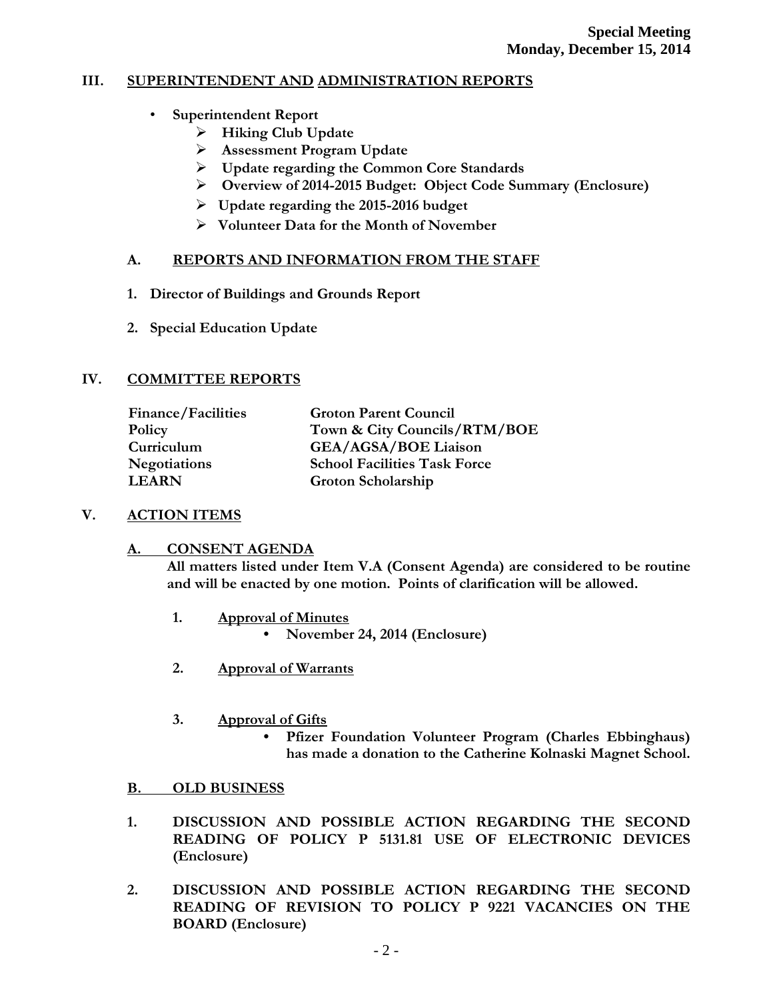# **III. SUPERINTENDENT AND ADMINISTRATION REPORTS**

- **Superintendent Report**
	- **Hiking Club Update**
	- **Assessment Program Update**
	- **Update regarding the Common Core Standards**
	- **Overview of 2014-2015 Budget: Object Code Summary (Enclosure)**
	- **Update regarding the 2015-2016 budget**
	- **Volunteer Data for the Month of November**

# **A. REPORTS AND INFORMATION FROM THE STAFF**

- **1. Director of Buildings and Grounds Report**
- **2. Special Education Update**

# **IV. COMMITTEE REPORTS**

| <b>Finance/Facilities</b> | <b>Groton Parent Council</b>        |
|---------------------------|-------------------------------------|
| Policy                    | Town & City Councils/RTM/BOE        |
| Curriculum                | <b>GEA/AGSA/BOE Liaison</b>         |
| <b>Negotiations</b>       | <b>School Facilities Task Force</b> |
| <b>LEARN</b>              | Groton Scholarship                  |

# **V. ACTION ITEMS**

# **A. CONSENT AGENDA**

**All matters listed under Item V.A (Consent Agenda) are considered to be routine and will be enacted by one motion. Points of clarification will be allowed.**

- **1. Approval of Minutes**
	- **November 24, 2014 (Enclosure)**
- **2. Approval of Warrants**
- **3. Approval of Gifts**

**• Pfizer Foundation Volunteer Program (Charles Ebbinghaus) has made a donation to the Catherine Kolnaski Magnet School.**

# **B. OLD BUSINESS**

- **1. DISCUSSION AND POSSIBLE ACTION REGARDING THE SECOND READING OF POLICY P 5131.81 USE OF ELECTRONIC DEVICES (Enclosure)**
- **2. DISCUSSION AND POSSIBLE ACTION REGARDING THE SECOND READING OF REVISION TO POLICY P 9221 VACANCIES ON THE BOARD (Enclosure)**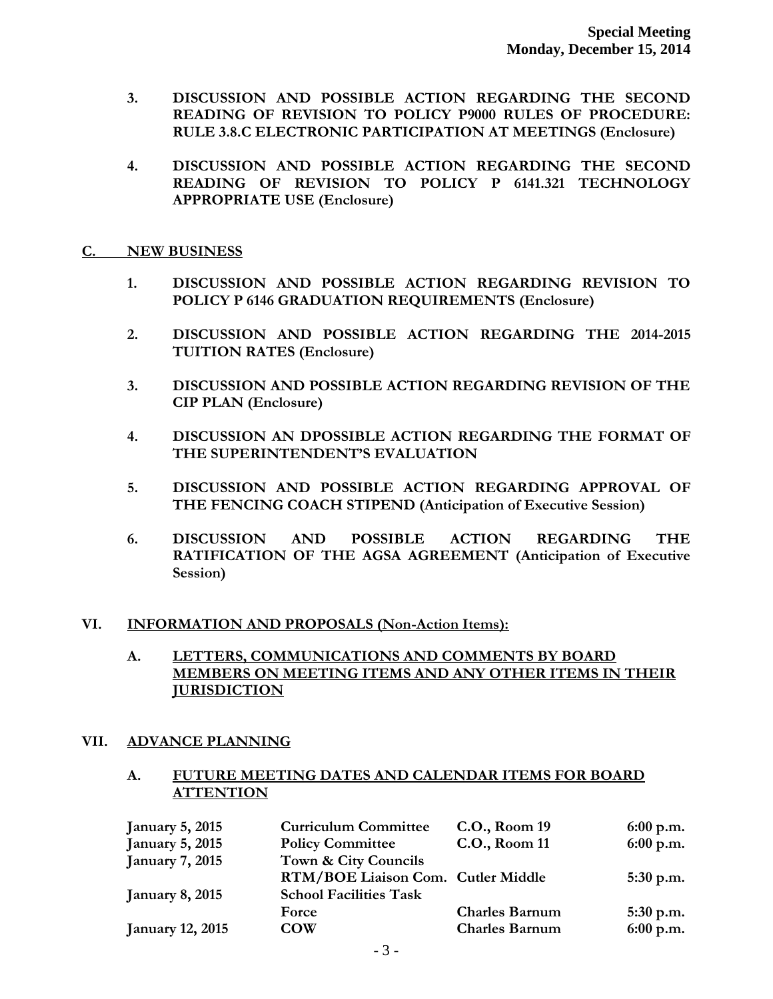- **3. DISCUSSION AND POSSIBLE ACTION REGARDING THE SECOND READING OF REVISION TO POLICY P9000 RULES OF PROCEDURE: RULE 3.8.C ELECTRONIC PARTICIPATION AT MEETINGS (Enclosure)**
- **4. DISCUSSION AND POSSIBLE ACTION REGARDING THE SECOND READING OF REVISION TO POLICY P 6141.321 TECHNOLOGY APPROPRIATE USE (Enclosure)**

### **C. NEW BUSINESS**

- **1. DISCUSSION AND POSSIBLE ACTION REGARDING REVISION TO POLICY P 6146 GRADUATION REQUIREMENTS (Enclosure)**
- **2. DISCUSSION AND POSSIBLE ACTION REGARDING THE 2014-2015 TUITION RATES (Enclosure)**
- **3. DISCUSSION AND POSSIBLE ACTION REGARDING REVISION OF THE CIP PLAN (Enclosure)**
- **4. DISCUSSION AN DPOSSIBLE ACTION REGARDING THE FORMAT OF THE SUPERINTENDENT'S EVALUATION**
- **5. DISCUSSION AND POSSIBLE ACTION REGARDING APPROVAL OF THE FENCING COACH STIPEND (Anticipation of Executive Session)**
- **6. DISCUSSION AND POSSIBLE ACTION REGARDING THE RATIFICATION OF THE AGSA AGREEMENT (Anticipation of Executive Session)**

# **VI. INFORMATION AND PROPOSALS (Non-Action Items):**

**A. LETTERS, COMMUNICATIONS AND COMMENTS BY BOARD MEMBERS ON MEETING ITEMS AND ANY OTHER ITEMS IN THEIR JURISDICTION** 

# **VII. ADVANCE PLANNING**

## **A. FUTURE MEETING DATES AND CALENDAR ITEMS FOR BOARD ATTENTION**

| <b>January 5, 2015</b>  | <b>Curriculum Committee</b>        | C.O., Room 19         | $6:00$ p.m. |
|-------------------------|------------------------------------|-----------------------|-------------|
| <b>January 5, 2015</b>  | <b>Policy Committee</b>            | C.O., Room 11         | 6:00 p.m.   |
| <b>January 7, 2015</b>  | Town & City Councils               |                       |             |
|                         | RTM/BOE Liaison Com. Cutler Middle |                       | $5:30$ p.m. |
| <b>January 8, 2015</b>  | <b>School Facilities Task</b>      |                       |             |
|                         | Force                              | <b>Charles Barnum</b> | $5:30$ p.m. |
| <b>January 12, 2015</b> | <b>COW</b>                         | <b>Charles Barnum</b> | 6:00 p.m.   |